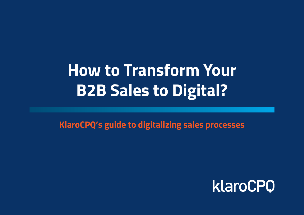## **How to Transform Your B2B Sales to Digital?**

**KlaroCPQ's guide to digitalizing sales processes**

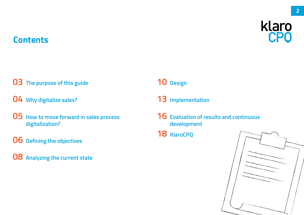#### **Contents**



#### **[The purpose of this guide](#page-2-0)**

- **[Why digitalize sales?](#page-3-0)**
- **[How to move forward in sales process](#page-4-0)  digitalization?**
- **[Defining the objectives](#page-5-0)**
- **[Analyzing the current state](#page-7-0)**

#### **[Design](#page-9-0)**

- **[Implementation](#page-12-0)**
- **[Evaluation of results and continuous](#page-15-0)  development**
- **[KlaroCPQ](#page-17-0)**

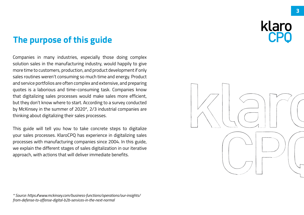#### <span id="page-2-0"></span>**The purpose of this guide**

Companies in many industries, especially those doing complex solution sales in the manufacturing industry, would happily to give more time to customers, production, and product development if only sales routines weren't consuming so much time and energy. Product and service portfolios are often complex and extensive, and preparing quotes is a laborious and time-consuming task. Companies know that digitalizing sales processes would make sales more efficient, but they don't know where to start. According to a survey conducted by McKinsey in the summer of 2020\*, 2/3 industrial companies are thinking about digitalizing their sales processes.

This guide will tell you how to take concrete steps to digitalize your sales processes. KlaroCPQ has experience in digitalizing sales processes with manufacturing companies since 2004. In this guide, we explain the different stages of sales digitalization in our iterative approach, with actions that will deliver immediate benefits.

*\* Source: https://www.mckinsey.com/business-functions/operations/our-insights/ from-defense-to-offense-digital-b2b-services-in-the-next-normal*

klaro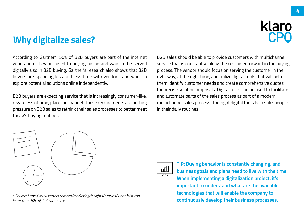#### <span id="page-3-0"></span>**Why digitalize sales?**



According to Gartner\*, 50% of B2B buyers are part of the internet generation. They are used to buying online and want to be served digitally also in B2B buying. Gartner's research also shows that B2B buyers are spending less and less time with vendors, and want to explore potential solutions online independently.

B2B buyers are expecting service that is increasingly consumer-like, regardless of time, place, or channel. These requirements are putting pressure on B2B sales to rethink their sales processes to better meet today's buying routines.

B2B sales should be able to provide customers with multichannel service that is constantly taking the customer forward in the buying process. The vendor should focus on serving the customer in the right way, at the right time, and utilize digital tools that will help them identify customer needs and create comprehensive quotes for precise solution proposals. Digital tools can be used to facilitate and automate parts of the sales process as part of a modern, multichannel sales process. The right digital tools help salespeople in their daily routines.



**continuously develop their business processes.** *\* Source: https://www.gartner.com/en/marketing/insights/articles/what-b2b-canlearn-from-b2c-digital-commerce*



**TIP: Buying behavior is constantly changing, and business goals and plans need to live with the time. When implementing a digitalization project, it's important to understand what are the available technologies that will enable the company to**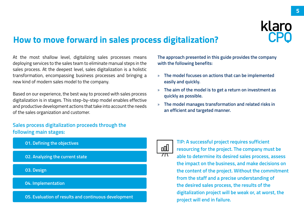#### <span id="page-4-0"></span>**How to move forward in sales process digitalization?**

At the most shallow level, digitalizing sales processes means deploying services to the sales team to eliminate manual steps in the sales process. At the deepest level, sales digitalization is a holistic transformation, encompassing business processes and bringing a new kind of modern sales model to the company.

Based on our experience, the best way to proceed with sales process digitalization is in stages. This step-by-step model enables effective and productive development actions that take into account the needs of the sales organization and customer.

**Sales process digitalization proceeds through the following main stages:**



**The approach presented in this guide provides the company with the following benefits:**

- » **The model focuses on actions that can be implemented easily and quickly.**
- » **The aim of the model is to get a return on investment as quickly as possible.**
- » **The model manages transformation and related risks in an efficient and targeted manner.**



**TIP: A successful project requires sufficient resourcing for the project. The company must be able to determine its desired sales process, assess the impact on the business, and make decisions on the content of the project. Without the commitment from the staff and a precise understanding of the desired sales process, the results of the digitalization project will be weak or, at worst, the project will end in failure.**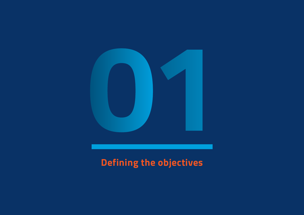<span id="page-5-0"></span>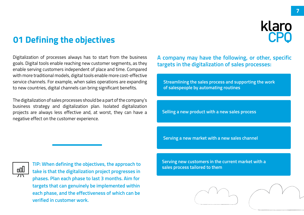#### **01 Defining the objectives**

Digitalization of processes always has to start from the business goals. Digital tools enable reaching new customer segments, as they enable serving customers independent of place and time. Compared with more traditional models, digital tools enable more cost-effective service channels. For example, when sales operations are expanding to new countries, digital channels can bring significant benefits.

The digitalization of sales processes should be a part of the company's business strategy and digitalization plan. Isolated digitalization projects are always less effective and, at worst, they can have a negative effect on the customer experience.

aaO

**TIP: When defining the objectives, the approach to take is that the digitalization project progresses in phases. Plan each phase to last 3 months. Aim for targets that can genuinely be implemented within each phase, and the effectiveness of which can be verified in customer work.** 

**A company may have the following, or other, specific targets in the digitalization of sales processes:**

**Streamlining the sales process and supporting the work of salespeople by automating routines**

**Selling a new product with a new sales process**

 **Serving a new market with a new sales channel**

**Serving new customers in the current market with a sales process tailored to them**

klaro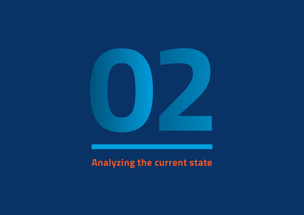<span id="page-7-0"></span>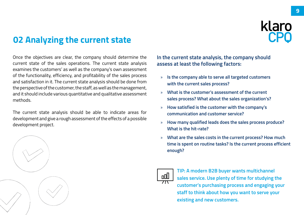### **02 Analyzing the current state**

Once the objectives are clear, the company should determine the current state of the sales operations. The current state analysis examines the customers' as well as the company's own assessment of the functionality, efficiency, and profitability of the sales process and satisfaction in it. The current state analysis should be done from the perspective of the customer, the staff, as well as the management, and it should include various quantitative and qualitative assessment methods.

The current state analysis should be able to indicate areas for development and give a rough assessment of the effects of a possible development project.



**In the current state analysis, the company should assess at least the following factors:**

- » **Is the company able to serve all targeted customers with the current sales process?**
- » **What is the customer's assessment of the current sales process? What about the sales organization's?**
- » **How satisfied is the customer with the company's communication and customer service?**
- » **How many qualified leads does the sales process produce? What is the hit-rate?**
- » **What are the sales costs in the current process? How much time is spent on routine tasks? Is the current process efficient enough?**



**TIP: A modern B2B buyer wants multichannel sales service. Use plenty of time for studying the customer's purchasing process and engaging your staff to think about how you want to serve your existing and new customers.**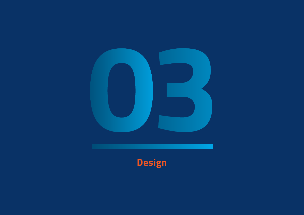<span id="page-9-0"></span>

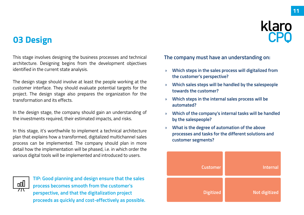#### **03 Design**

klaro

This stage involves designing the business processes and technical architecture. Designing begins from the development objectives identified in the current state analysis.

The design stage should involve at least the people working at the customer interface. They should evaluate potential targets for the project. The design stage also prepares the organization for the transformation and its effects.

In the design stage, the company should gain an understanding of the investments required, their estimated impacts, and risks.

In this stage, it's worthwhile to implement a technical architecture plan that explains how a transformed, digitalized multichannel sales process can be implemented. The company should plan in more detail how the implementation will be phased, i.e. in which order the various digital tools will be implemented and introduced to users.



**TIP: Good planning and design ensure that the sales process becomes smooth from the customer's perspective, and that the digitalization project proceeds as quickly and cost-effectively as possible.** **The company must have an understanding on:**

- » **Which steps in the sales process will digitalized from the customer's perspective?**
- » **Which sales steps will be handled by the salespeople towards the customer?**
- » **Which steps in the internal sales process will be automated?**
- » **Which of the company's internal tasks will be handled by the salespeople?**
- » **What is the degree of automation of the above processes and tasks for the different solutions and customer segments?**

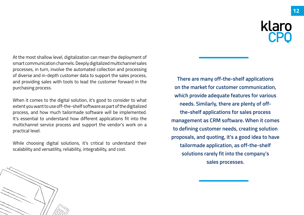At the most shallow level, digitalization can mean the deployment of smart communication channels. Deeply digitalized multichannel sales processes, in turn, involve the automated collection and processing of diverse and in-depth customer data to support the sales process, and providing sales with tools to lead the customer forward in the purchasing process.

When it comes to the digital solution, it's good to consider to what extent you want to use off-the-shelf software as part of the digitalized process, and how much tailormade software will be implemented. It's essential to understand how different applications fit into the multichannel service process and support the vendor's work on a practical level.

While choosing digital solutions, it's critical to understand their scalability and versatility, reliability, integrability, and cost.

**There are many off-the-shelf applications on the market for customer communication, which provide adequate features for various needs. Similarly, there are plenty of offthe-shelf applications for sales process management as CRM software. When it comes to defining customer needs, creating solution proposals, and quoting, it's a good idea to have tailormade application, as off-the-shelf solutions rarely fit into the company's sales processes.**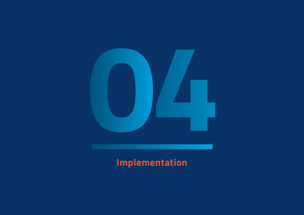<span id="page-12-0"></span>

## **Implementation**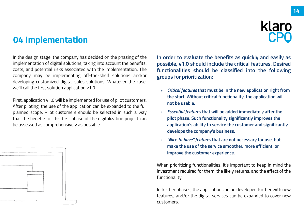#### **04 Implementation**

klaro

In the design stage, the company has decided on the phasing of the implementation of digital solutions, taking into account the benefits, costs, and potential risks associated with the implementation. The company may be implementing off-the-shelf solutions and/or developing customized digital sales solutions. Whatever the case, we'll call the first solution application v1.0.

First, application v1.0 will be implemented for use of pilot customers. After piloting, the use of the application can be expanded to the full planned scope. Pilot customers should be selected in such a way that the benefits of this first phase of the digitalization project can be assessed as comprehensively as possible.



**In order to evaluate the benefits as quickly and easily as possible, v1.0 should include the critical features. Desired functionalities should be classified into the following groups for prioritization:**

- » *Critical features* **that must be in the new application right from the start. Without critical functionality, the application will not be usable.**
- » *Essential features* **that will be added immediately after the pilot phase. Such functionality significantly improves the application's ability to service the customer and significantly develops the company's business.**
- » *"Nice-to-have" features* **that are not necessary for use, but make the use of the service smoother, more efficient, or improve the customer experience.**

When prioritizing functionalities, it's important to keep in mind the investment required for them, the likely returns, and the effect of the functionality.

In further phases, the application can be developed further with new features, and/or the digital services can be expanded to cover new customers.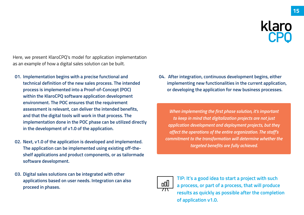Here, we present KlaroCPQ's model for application implementation as an example of how a digital sales solution can be built.

- **01. Implementation begins with a precise functional and technical definition of the new sales process. The intended process is implemented into a Proof-of-Concept (POC) within the KlaroCPQ software application development environment. The POC ensures that the requirement assessment is relevant, can deliver the intended benefits, and that the digital tools will work in that process. The implementation done in the POC phase can be utilized directly in the development of v1.0 of the application.**
- **02. Next, v1.0 of the application is developed and implemented. The application can be implemented using existing off-theshelf applications and product components, or as tailormade software development.**
- **03. Digital sales solutions can be integrated with other applications based on user needs. Integration can also proceed in phases.**

**04. After integration, continuous development begins, either implementing new functionalities in the current application, or developing the application for new business processes.**

*When implementing the first phase solution, it's important to keep in mind that digitalization projects are not just application development and deployment projects, but they affect the operations of the entire organization. The staff's commitment to the transformation will determine whether the targeted benefits are fully achieved.*



**TIP: It's a good idea to start a project with such a process, or part of a process, that will produce results as quickly as possible after the completion of application v1.0.**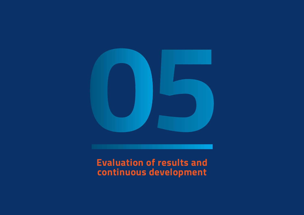<span id="page-15-0"></span>

#### **Evaluation of results and continuous development**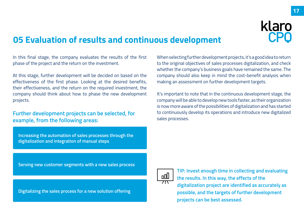**17**

#### **05 Evaluation of results and continuous development**

In this final stage, the company evaluates the results of the first phase of the project and the return on the investment.

At this stage, further development will be decided on based on the effectiveness of the first phase. Looking at the desired benefits, their effectiveness, and the return on the required investment, the company should think about how to phase the new development projects.

#### **Further development projects can be selected, for example, from the following areas:**

**Increasing the automation of sales processes through the digitalization and integration of manual steps**

When selecting further development projects, it's a good idea to return to the original objectives of sales processes digitalization, and check whether the company's business goals have remained the same. The company should also keep in mind the cost-benefit analysis when making an assessment on further development targets.

It's important to note that in the continuous development stage, the company will be able to develop new tools faster, as their organization is now more aware of the possibilities of digitalization and has started to continuously develop its operations and introduce new digitalized sales processes.

**Serving new customer segments with a new sales process**

**Digitalizing the sales process for a new solution offering**



**TIP: Invest enough time in collecting and evaluating the results. In this way, the effects of the digitalization project are identified as accurately as possible, and the targets of further development projects can be best assessed.**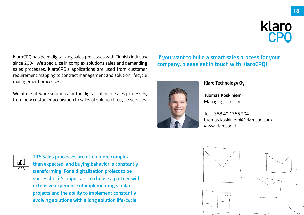<span id="page-17-0"></span>KlaroCPQ has been digitalizing sales processes with Finnish industry since 2004. We specialize in complex solutions sales and demanding sales processes. KlaroCPQ's applications are used from customer requirement mapping to contract management and solution lifecycle management processes.

We offer software solutions for the digitalization of sales processes, from new customer acquisition to sales of solution lifecycle services.

#### **If you want to build a smart sales process for your company, please get in touch with KlaroCPQ!**



#### **Klaro Technology Oy**

**Tuomas Koskiniemi** Managing Director

Tel. +358 40 1766 204 tuomas.koskiniemi@klarocpq.com www.klarocpq.fi



**TIP: Sales processes are often more complex than expected, and buying behavior is constantly transforming. For a digitalization project to be successful, it's important to choose a partner with extensive experience of implementing similar projects and the ability to implement constantly evolving solutions with a long solution life-cycle.**